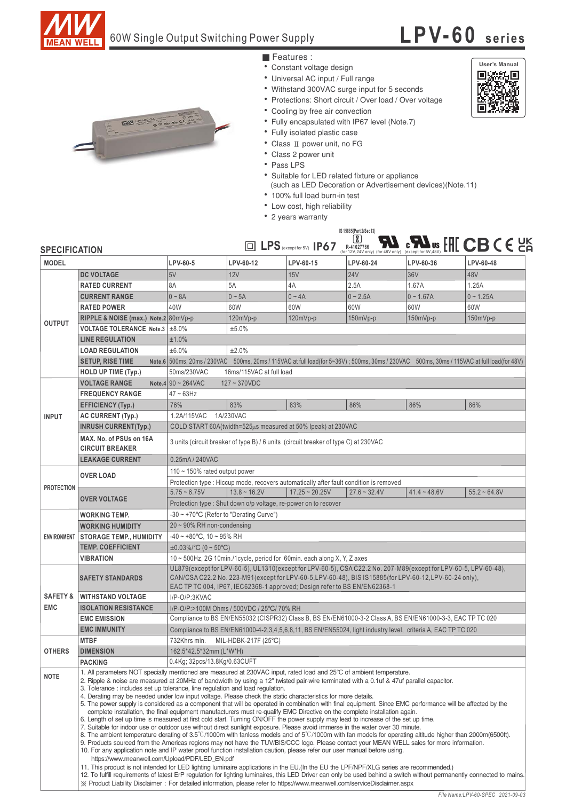

### 60W Single Output Switching Power Supply

# **LPV-60 series**

**User's Manual**回

添为回 评



- Features :
- Constant voltage design
- Universal AC input / Full range
- Withstand 300VAC surge input for 5 seconds
- Protections: Short circuit / Over load / Over voltage
- Cooling by free air convection
- Fully encapsulated with IP67 level (Note.7)
- Fully isolated plastic case
- Class II power unit, no FG
- Class 2 power unit
- Pass LPS
- Suitable for LED related fixture or appliance
- (such as LED Decoration or Advertisement devices)(Note.11)
- 100% full load burn-in test
- Low cost, high reliability
- 2 years warranty

#### **IS 15885(Part 2/Sec13)**



| <b>SPECIFICATION</b> |                                                                                                                                                                                                                                                                                                                                                                                                                                                                                                                                                                                                                                                                                                                                                                                                                                                                                                                                                                                                                                                                                                                                                                                                                                                                                                                                                                                                                                                                                                                                                                                                                                                                                                                                                                                                                                                                                                                                                                               | رى<br><b>CB</b> CE<br>$\frac{1}{2}$ $\sum_{\text{except for } 5 \vee, 48 \vee}$<br><b>ID LPS</b> (except for 5V) IP67<br>R-41027766<br>(for 12V,24V only) (for 48V only) (except for 5V,48V) |            |            |            |             |             |
|----------------------|-------------------------------------------------------------------------------------------------------------------------------------------------------------------------------------------------------------------------------------------------------------------------------------------------------------------------------------------------------------------------------------------------------------------------------------------------------------------------------------------------------------------------------------------------------------------------------------------------------------------------------------------------------------------------------------------------------------------------------------------------------------------------------------------------------------------------------------------------------------------------------------------------------------------------------------------------------------------------------------------------------------------------------------------------------------------------------------------------------------------------------------------------------------------------------------------------------------------------------------------------------------------------------------------------------------------------------------------------------------------------------------------------------------------------------------------------------------------------------------------------------------------------------------------------------------------------------------------------------------------------------------------------------------------------------------------------------------------------------------------------------------------------------------------------------------------------------------------------------------------------------------------------------------------------------------------------------------------------------|----------------------------------------------------------------------------------------------------------------------------------------------------------------------------------------------|------------|------------|------------|-------------|-------------|
| <b>MODEL</b>         |                                                                                                                                                                                                                                                                                                                                                                                                                                                                                                                                                                                                                                                                                                                                                                                                                                                                                                                                                                                                                                                                                                                                                                                                                                                                                                                                                                                                                                                                                                                                                                                                                                                                                                                                                                                                                                                                                                                                                                               | LPV-60-5                                                                                                                                                                                     | LPV-60-12  | LPV-60-15  | LPV-60-24  | LPV-60-36   | LPV-60-48   |
| <b>OUTPUT</b>        | <b>DC VOLTAGE</b>                                                                                                                                                                                                                                                                                                                                                                                                                                                                                                                                                                                                                                                                                                                                                                                                                                                                                                                                                                                                                                                                                                                                                                                                                                                                                                                                                                                                                                                                                                                                                                                                                                                                                                                                                                                                                                                                                                                                                             | 5V                                                                                                                                                                                           | <b>12V</b> | 15V        | <b>24V</b> | 36V         | 48V         |
|                      | <b>RATED CURRENT</b>                                                                                                                                                                                                                                                                                                                                                                                                                                                                                                                                                                                                                                                                                                                                                                                                                                                                                                                                                                                                                                                                                                                                                                                                                                                                                                                                                                                                                                                                                                                                                                                                                                                                                                                                                                                                                                                                                                                                                          | 8A                                                                                                                                                                                           | 5A         | 4A         | 2.5A       | 1.67A       | 1.25A       |
|                      | <b>CURRENT RANGE</b>                                                                                                                                                                                                                                                                                                                                                                                                                                                                                                                                                                                                                                                                                                                                                                                                                                                                                                                                                                                                                                                                                                                                                                                                                                                                                                                                                                                                                                                                                                                                                                                                                                                                                                                                                                                                                                                                                                                                                          | $0 - 8A$                                                                                                                                                                                     | $0 - 5A$   | $0 - 4A$   | $0 - 2.5A$ | $0 - 1.67A$ | $0 - 1.25A$ |
|                      | <b>RATED POWER</b>                                                                                                                                                                                                                                                                                                                                                                                                                                                                                                                                                                                                                                                                                                                                                                                                                                                                                                                                                                                                                                                                                                                                                                                                                                                                                                                                                                                                                                                                                                                                                                                                                                                                                                                                                                                                                                                                                                                                                            | 40W                                                                                                                                                                                          | 60W        | 60W        | 60W        | 60W         | 60W         |
|                      | RIPPLE & NOISE (max.) Note.2 80mVp-p                                                                                                                                                                                                                                                                                                                                                                                                                                                                                                                                                                                                                                                                                                                                                                                                                                                                                                                                                                                                                                                                                                                                                                                                                                                                                                                                                                                                                                                                                                                                                                                                                                                                                                                                                                                                                                                                                                                                          |                                                                                                                                                                                              | 120mVp-p   | $120mVp-p$ | $150mVp-p$ | $150mVp-p$  | $150mVp-p$  |
|                      | VOLTAGE TOLERANCE Note.3   ±8.0%                                                                                                                                                                                                                                                                                                                                                                                                                                                                                                                                                                                                                                                                                                                                                                                                                                                                                                                                                                                                                                                                                                                                                                                                                                                                                                                                                                                                                                                                                                                                                                                                                                                                                                                                                                                                                                                                                                                                              |                                                                                                                                                                                              | ±5.0%      |            |            |             |             |
|                      | <b>LINE REGULATION</b>                                                                                                                                                                                                                                                                                                                                                                                                                                                                                                                                                                                                                                                                                                                                                                                                                                                                                                                                                                                                                                                                                                                                                                                                                                                                                                                                                                                                                                                                                                                                                                                                                                                                                                                                                                                                                                                                                                                                                        | ±1.0%                                                                                                                                                                                        |            |            |            |             |             |
|                      | <b>LOAD REGULATION</b>                                                                                                                                                                                                                                                                                                                                                                                                                                                                                                                                                                                                                                                                                                                                                                                                                                                                                                                                                                                                                                                                                                                                                                                                                                                                                                                                                                                                                                                                                                                                                                                                                                                                                                                                                                                                                                                                                                                                                        | ±6.0%<br>±2.0%                                                                                                                                                                               |            |            |            |             |             |
|                      | <b>SETUP, RISE TIME</b>                                                                                                                                                                                                                                                                                                                                                                                                                                                                                                                                                                                                                                                                                                                                                                                                                                                                                                                                                                                                                                                                                                                                                                                                                                                                                                                                                                                                                                                                                                                                                                                                                                                                                                                                                                                                                                                                                                                                                       | Note.6 500ms, 20ms / 230VAC 500ms, 20ms / 115VAC at full load(for 5~36V); 500ms, 30ms / 230VAC 500ms, 30ms / 115VAC at full load(for 48V)                                                    |            |            |            |             |             |
|                      | <b>HOLD UP TIME (Typ.)</b>                                                                                                                                                                                                                                                                                                                                                                                                                                                                                                                                                                                                                                                                                                                                                                                                                                                                                                                                                                                                                                                                                                                                                                                                                                                                                                                                                                                                                                                                                                                                                                                                                                                                                                                                                                                                                                                                                                                                                    | 50ms/230VAC<br>16ms/115VAC at full load                                                                                                                                                      |            |            |            |             |             |
| <b>INPUT</b>         | <b>VOLTAGE RANGE</b>                                                                                                                                                                                                                                                                                                                                                                                                                                                                                                                                                                                                                                                                                                                                                                                                                                                                                                                                                                                                                                                                                                                                                                                                                                                                                                                                                                                                                                                                                                                                                                                                                                                                                                                                                                                                                                                                                                                                                          | Note.4 $90 \sim 264$ VAC<br>$127 - 370VDC$                                                                                                                                                   |            |            |            |             |             |
|                      | <b>FREQUENCY RANGE</b>                                                                                                                                                                                                                                                                                                                                                                                                                                                                                                                                                                                                                                                                                                                                                                                                                                                                                                                                                                                                                                                                                                                                                                                                                                                                                                                                                                                                                                                                                                                                                                                                                                                                                                                                                                                                                                                                                                                                                        | $47 - 63$ Hz                                                                                                                                                                                 |            |            |            |             |             |
|                      | <b>EFFICIENCY (Typ.)</b>                                                                                                                                                                                                                                                                                                                                                                                                                                                                                                                                                                                                                                                                                                                                                                                                                                                                                                                                                                                                                                                                                                                                                                                                                                                                                                                                                                                                                                                                                                                                                                                                                                                                                                                                                                                                                                                                                                                                                      | 76%                                                                                                                                                                                          | 83%        | 83%        | 86%        | 86%         | 86%         |
|                      | <b>AC CURRENT (Typ.)</b>                                                                                                                                                                                                                                                                                                                                                                                                                                                                                                                                                                                                                                                                                                                                                                                                                                                                                                                                                                                                                                                                                                                                                                                                                                                                                                                                                                                                                                                                                                                                                                                                                                                                                                                                                                                                                                                                                                                                                      | 1.2A/115VAC<br>1A/230VAC                                                                                                                                                                     |            |            |            |             |             |
|                      | <b>INRUSH CURRENT(Typ.)</b>                                                                                                                                                                                                                                                                                                                                                                                                                                                                                                                                                                                                                                                                                                                                                                                                                                                                                                                                                                                                                                                                                                                                                                                                                                                                                                                                                                                                                                                                                                                                                                                                                                                                                                                                                                                                                                                                                                                                                   | COLD START 60A(twidth= $525\mu s$ measured at 50% lpeak) at 230VAC                                                                                                                           |            |            |            |             |             |
|                      | MAX. No. of PSUs on 16A<br><b>CIRCUIT BREAKER</b>                                                                                                                                                                                                                                                                                                                                                                                                                                                                                                                                                                                                                                                                                                                                                                                                                                                                                                                                                                                                                                                                                                                                                                                                                                                                                                                                                                                                                                                                                                                                                                                                                                                                                                                                                                                                                                                                                                                             | 3 units (circuit breaker of type B) / 6 units (circuit breaker of type C) at 230VAC                                                                                                          |            |            |            |             |             |
|                      | <b>LEAKAGE CURRENT</b>                                                                                                                                                                                                                                                                                                                                                                                                                                                                                                                                                                                                                                                                                                                                                                                                                                                                                                                                                                                                                                                                                                                                                                                                                                                                                                                                                                                                                                                                                                                                                                                                                                                                                                                                                                                                                                                                                                                                                        | 0.25mA / 240VAC                                                                                                                                                                              |            |            |            |             |             |
| <b>PROTECTION</b>    | <b>OVER LOAD</b>                                                                                                                                                                                                                                                                                                                                                                                                                                                                                                                                                                                                                                                                                                                                                                                                                                                                                                                                                                                                                                                                                                                                                                                                                                                                                                                                                                                                                                                                                                                                                                                                                                                                                                                                                                                                                                                                                                                                                              | 110 $\sim$ 150% rated output power                                                                                                                                                           |            |            |            |             |             |
|                      |                                                                                                                                                                                                                                                                                                                                                                                                                                                                                                                                                                                                                                                                                                                                                                                                                                                                                                                                                                                                                                                                                                                                                                                                                                                                                                                                                                                                                                                                                                                                                                                                                                                                                                                                                                                                                                                                                                                                                                               | Protection type : Hiccup mode, recovers automatically after fault condition is removed                                                                                                       |            |            |            |             |             |
|                      |                                                                                                                                                                                                                                                                                                                                                                                                                                                                                                                                                                                                                                                                                                                                                                                                                                                                                                                                                                                                                                                                                                                                                                                                                                                                                                                                                                                                                                                                                                                                                                                                                                                                                                                                                                                                                                                                                                                                                                               | $13.8 \sim 16.2V$<br>$17.25 - 20.25V$<br>$5.75 - 6.75V$<br>$27.6 - 32.4V$<br>$41.4 - 48.6V$<br>$55.2 - 64.8V$                                                                                |            |            |            |             |             |
|                      | <b>OVER VOLTAGE</b>                                                                                                                                                                                                                                                                                                                                                                                                                                                                                                                                                                                                                                                                                                                                                                                                                                                                                                                                                                                                                                                                                                                                                                                                                                                                                                                                                                                                                                                                                                                                                                                                                                                                                                                                                                                                                                                                                                                                                           | Protection type : Shut down o/p voltage, re-power on to recover                                                                                                                              |            |            |            |             |             |
| <b>ENVIRONMENT</b>   | <b>WORKING TEMP.</b>                                                                                                                                                                                                                                                                                                                                                                                                                                                                                                                                                                                                                                                                                                                                                                                                                                                                                                                                                                                                                                                                                                                                                                                                                                                                                                                                                                                                                                                                                                                                                                                                                                                                                                                                                                                                                                                                                                                                                          | -30 ~ +70°C (Refer to "Derating Curve")                                                                                                                                                      |            |            |            |             |             |
|                      | <b>WORKING HUMIDITY</b>                                                                                                                                                                                                                                                                                                                                                                                                                                                                                                                                                                                                                                                                                                                                                                                                                                                                                                                                                                                                                                                                                                                                                                                                                                                                                                                                                                                                                                                                                                                                                                                                                                                                                                                                                                                                                                                                                                                                                       | $20 \sim 90\%$ RH non-condensing                                                                                                                                                             |            |            |            |             |             |
|                      | <b>STORAGE TEMP., HUMIDITY</b>                                                                                                                                                                                                                                                                                                                                                                                                                                                                                                                                                                                                                                                                                                                                                                                                                                                                                                                                                                                                                                                                                                                                                                                                                                                                                                                                                                                                                                                                                                                                                                                                                                                                                                                                                                                                                                                                                                                                                | $-40 \sim +80^{\circ}$ C, 10 ~ 95% RH                                                                                                                                                        |            |            |            |             |             |
|                      | <b>TEMP. COEFFICIENT</b>                                                                                                                                                                                                                                                                                                                                                                                                                                                                                                                                                                                                                                                                                                                                                                                                                                                                                                                                                                                                                                                                                                                                                                                                                                                                                                                                                                                                                                                                                                                                                                                                                                                                                                                                                                                                                                                                                                                                                      | $\pm 0.03\%$ °C (0 ~ 50°C)                                                                                                                                                                   |            |            |            |             |             |
|                      | <b>VIBRATION</b>                                                                                                                                                                                                                                                                                                                                                                                                                                                                                                                                                                                                                                                                                                                                                                                                                                                                                                                                                                                                                                                                                                                                                                                                                                                                                                                                                                                                                                                                                                                                                                                                                                                                                                                                                                                                                                                                                                                                                              | 10 ~ 500Hz, 2G 10min./1cycle, period for 60min. each along X, Y, Z axes                                                                                                                      |            |            |            |             |             |
|                      | UL879(except for LPV-60-5), UL1310(except for LPV-60-5), CSA C22.2 No. 207-M89(except for LPV-60-5, LPV-60-48),<br>CAN/CSA C22.2 No. 223-M91(except for LPV-60-5, LPV-60-48), BIS IS15885(for LPV-60-12, LPV-60-24 only),<br><b>SAFETY STANDARDS</b><br>EAC TP TC 004, IP67, IEC62368-1 approved; Design refer to BS EN/EN62368-1                                                                                                                                                                                                                                                                                                                                                                                                                                                                                                                                                                                                                                                                                                                                                                                                                                                                                                                                                                                                                                                                                                                                                                                                                                                                                                                                                                                                                                                                                                                                                                                                                                             |                                                                                                                                                                                              |            |            |            |             |             |
| <b>SAFETY &amp;</b>  | <b>WITHSTAND VOLTAGE</b>                                                                                                                                                                                                                                                                                                                                                                                                                                                                                                                                                                                                                                                                                                                                                                                                                                                                                                                                                                                                                                                                                                                                                                                                                                                                                                                                                                                                                                                                                                                                                                                                                                                                                                                                                                                                                                                                                                                                                      | I/P-O/P:3KVAC                                                                                                                                                                                |            |            |            |             |             |
| <b>EMC</b>           | <b>ISOLATION RESISTANCE</b>                                                                                                                                                                                                                                                                                                                                                                                                                                                                                                                                                                                                                                                                                                                                                                                                                                                                                                                                                                                                                                                                                                                                                                                                                                                                                                                                                                                                                                                                                                                                                                                                                                                                                                                                                                                                                                                                                                                                                   | I/P-O/P:>100M Ohms / 500VDC / 25°C/ 70% RH                                                                                                                                                   |            |            |            |             |             |
|                      | <b>EMC EMISSION</b>                                                                                                                                                                                                                                                                                                                                                                                                                                                                                                                                                                                                                                                                                                                                                                                                                                                                                                                                                                                                                                                                                                                                                                                                                                                                                                                                                                                                                                                                                                                                                                                                                                                                                                                                                                                                                                                                                                                                                           | Compliance to BS EN/EN55032 (CISPR32) Class B, BS EN/EN61000-3-2 Class A, BS EN/EN61000-3-3, EAC TP TC 020                                                                                   |            |            |            |             |             |
|                      | <b>EMC IMMUNITY</b>                                                                                                                                                                                                                                                                                                                                                                                                                                                                                                                                                                                                                                                                                                                                                                                                                                                                                                                                                                                                                                                                                                                                                                                                                                                                                                                                                                                                                                                                                                                                                                                                                                                                                                                                                                                                                                                                                                                                                           | Compliance to BS EN/EN61000-4-2,3,4,5,6,8,11, BS EN/EN55024, light industry level, criteria A, EAC TP TC 020                                                                                 |            |            |            |             |             |
| <b>OTHERS</b>        | <b>MTBF</b>                                                                                                                                                                                                                                                                                                                                                                                                                                                                                                                                                                                                                                                                                                                                                                                                                                                                                                                                                                                                                                                                                                                                                                                                                                                                                                                                                                                                                                                                                                                                                                                                                                                                                                                                                                                                                                                                                                                                                                   | 732Khrs min.<br>MIL-HDBK-217F (25°C)                                                                                                                                                         |            |            |            |             |             |
|                      | <b>DIMENSION</b>                                                                                                                                                                                                                                                                                                                                                                                                                                                                                                                                                                                                                                                                                                                                                                                                                                                                                                                                                                                                                                                                                                                                                                                                                                                                                                                                                                                                                                                                                                                                                                                                                                                                                                                                                                                                                                                                                                                                                              | 162.5*42.5*32mm (L*W*H)                                                                                                                                                                      |            |            |            |             |             |
|                      | <b>PACKING</b>                                                                                                                                                                                                                                                                                                                                                                                                                                                                                                                                                                                                                                                                                                                                                                                                                                                                                                                                                                                                                                                                                                                                                                                                                                                                                                                                                                                                                                                                                                                                                                                                                                                                                                                                                                                                                                                                                                                                                                | 0.4Kg; 32pcs/13.8Kg/0.63CUFT                                                                                                                                                                 |            |            |            |             |             |
| <b>NOTE</b>          | 1. All parameters NOT specially mentioned are measured at 230VAC input, rated load and 25°C of ambient temperature.<br>2. Ripple & noise are measured at 20MHz of bandwidth by using a 12" twisted pair-wire terminated with a 0.1uf & 47uf parallel capacitor.<br>3. Tolerance: includes set up tolerance, line regulation and load regulation.<br>4. Derating may be needed under low input voltage. Please check the static characteristics for more details.<br>5. The power supply is considered as a component that will be operated in combination with final equipment. Since EMC performance will be affected by the<br>complete installation, the final equipment manufacturers must re-qualify EMC Directive on the complete installation again.<br>6. Length of set up time is measured at first cold start. Turning ON/OFF the power supply may lead to increase of the set up time.<br>7. Suitable for indoor use or outdoor use without direct sunlight exposure. Please avoid immerse in the water over 30 minute.<br>8. The ambient temperature derating of 3.5°C/1000m with fanless models and of 5°C/1000m with fan models for operating altitude higher than 2000m(6500ft).<br>9. Products sourced from the Americas regions may not have the TUV/BIS/CCC logo. Please contact your MEAN WELL sales for more information.<br>10. For any application note and IP water proof function installation caution, please refer our user manual before using.<br>https://www.meanwell.com/Upload/PDF/LED_EN.pdf<br>11. This product is not intended for LED lighting luminaire applications in the EU (In the EU the LPF/NPF/XLG series are recommended.)<br>12. To fulfill requirements of latest ErP regulation for lighting luminaires, this LED Driver can only be used behind a switch without permanently connected to mains.<br>X Product Liability Disclaimer: For detailed information, please refer to https://www.meanwell.com/serviceDisclaimer.aspx |                                                                                                                                                                                              |            |            |            |             |             |